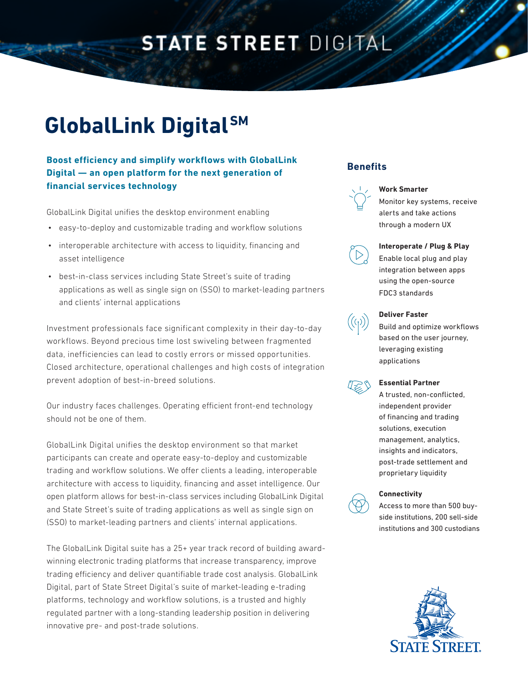# **STATE STREET DIGITAL**

# **GlobalLink Digital SM**

### **Boost efficiency and simplify workflows with GlobalLink Digital — an open platform for the next generation of financial services technology**

GlobalLink Digital unifies the desktop environment enabling

- easy-to-deploy and customizable trading and workflow solutions
- interoperable architecture with access to liquidity, financing and asset intelligence
- best-in-class services including State Street's suite of trading applications as well as single sign on (SSO) to market-leading partners and clients' internal applications

Investment professionals face significant complexity in their day-to-day workflows. Beyond precious time lost swiveling between fragmented data, inefficiencies can lead to costly errors or missed opportunities. Closed architecture, operational challenges and high costs of integration prevent adoption of best-in-breed solutions.

Our industry faces challenges. Operating efficient front-end technology should not be one of them.

GlobalLink Digital unifies the desktop environment so that market participants can create and operate easy-to-deploy and customizable trading and workflow solutions. We offer clients a leading, interoperable architecture with access to liquidity, financing and asset intelligence. Our open platform allows for best-in-class services including GlobalLink Digital and State Street's suite of trading applications as well as single sign on (SSO) to market-leading partners and clients' internal applications.

The GlobalLink Digital suite has a 25+ year track record of building awardwinning electronic trading platforms that increase transparency, improve trading efficiency and deliver quantifiable trade cost analysis. GlobalLink Digital, part of State Street Digital's suite of market-leading e-trading platforms, technology and workflow solutions, is a trusted and highly regulated partner with a long-standing leadership position in delivering innovative pre- and post-trade solutions.

### **Benefits**



#### **Work Smarter**

Monitor key systems, receive alerts and take actions through a modern UX



#### **Interoperate / Plug & Play**

Enable local plug and play integration between apps using the open-source FDC3 standards



#### **Deliver Faster**

Build and optimize workflows based on the user journey, leveraging existing applications



#### **Essential Partner**

A trusted, non-conflicted, independent provider of financing and trading solutions, execution management, analytics, insights and indicators, post-trade settlement and proprietary liquidity



#### **Connectivity**

Access to more than 500 buyside institutions, 200 sell-side institutions and 300 custodians

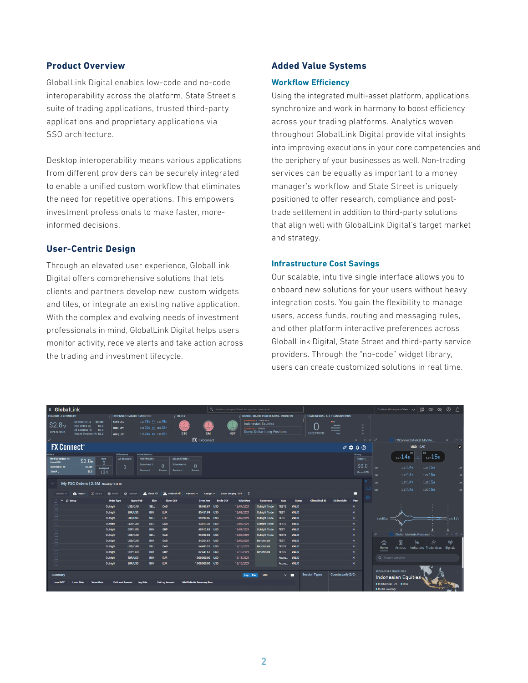#### **Product Overview**

GlobalLink Digital enables low-code and no-code interoperability across the platform, State Street's suite of trading applications, trusted third-party applications and proprietary applications via SSO architecture.

Desktop interoperability means various applications from different providers can be securely integrated to enable a unified custom workflow that eliminates the need for repetitive operations. This empowers investment professionals to make faster, moreinformed decisions.

#### **User-Centric Design**

Through an elevated user experience, GlobalLink Digital offers comprehensive solutions that lets clients and partners develop new, custom widgets and tiles, or integrate an existing native application. With the complex and evolving needs of investment professionals in mind, GlobalLink Digital helps users monitor activity, receive alerts and take action across the trading and investment lifecycle.

#### **Added Value Systems**

#### **Workflow Efficiency**

Using the integrated multi-asset platform, applications synchronize and work in harmony to boost efficiency across your trading platforms. Analytics woven throughout GlobalLink Digital provide vital insights into improving executions in your core competencies and the periphery of your businesses as well. Non-trading services can be equally as important to a money manager's workflow and State Street is uniquely positioned to offer research, compliance and posttrade settlement in addition to third-party solutions that align well with GlobalLink Digital's target market and strategy.

#### **Infrastructure Cost Savings**

Our scalable, intuitive single interface allows you to onboard new solutions for your users without heavy integration costs. You gain the flexibility to manage users, access funds, routing and messaging rules, and other platform interactive preferences across GlobalLink Digital, State Street and third-party service providers. Through the "no-code" widget library, users can create customized solutions in real time.

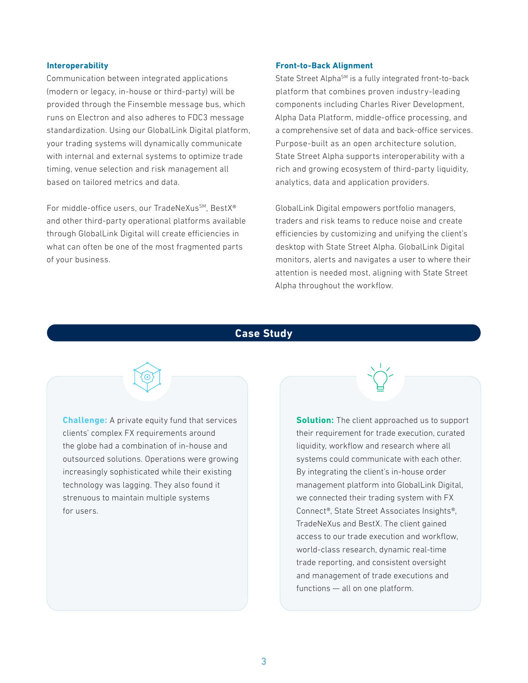#### **Interoperability**

Communication between integrated applications (modern or legacy, in-house or third-party) will be provided through the Finsemble message bus, which runs on Electron and also adheres to FDC3 message standardization. Using our GlobalLink Digital platform, your trading systems will dynamically communicate with internal and external systems to optimize trade timing, venue selection and risk management all based on tailored metrics and data.

For middle-office users, our TradeNeXus<sup>SM</sup>, BestX<sup>®</sup> and other third-party operational platforms available through GlobalLink Digital will create efficiencies in what can often be one of the most fragmented parts of your business.

#### **Front-to-Back Alignment**

State Street Alpha<sup>SM</sup> is a fully integrated front-to-back platform that combines proven industry-leading components including Charles River Development, Alpha Data Platform, middle-office processing, and a comprehensive set of data and back-office services. Purpose-built as an open architecture solution, State Street Alpha supports interoperability with a rich and growing ecosystem of third-party liquidity, analytics, data and application providers.

GlobalLink Digital empowers portfolio managers, traders and risk teams to reduce noise and create efficiencies by customizing and unifying the client's desktop with State Street Alpha. GlobalLink Digital monitors, alerts and navigates a user to where their attention is needed most, aligning with State Street Alpha throughout the workflow.

#### **Case Study**

**Challenge:** A private equity fund that services clients' complex FX requirements around the globe had a combination of in-house and outsourced solutions. Operations were growing increasingly sophisticated while their existing technology was lagging. They also found it strenuous to maintain multiple systems for users.

**Solution:** The client approached us to support their requirement for trade execution, curated liquidity, workflow and research where all systems could communicate with each other. By integrating the client's in-house order management platform into GlobalLink Digital, we connected their trading system with FX Connect®, State Street Associates Insights®, TradeNeXus and BestX. The client gained access to our trade execution and workflow, world-class research, dynamic real-time trade reporting, and consistent oversight and management of trade executions and functions — all on one platform.